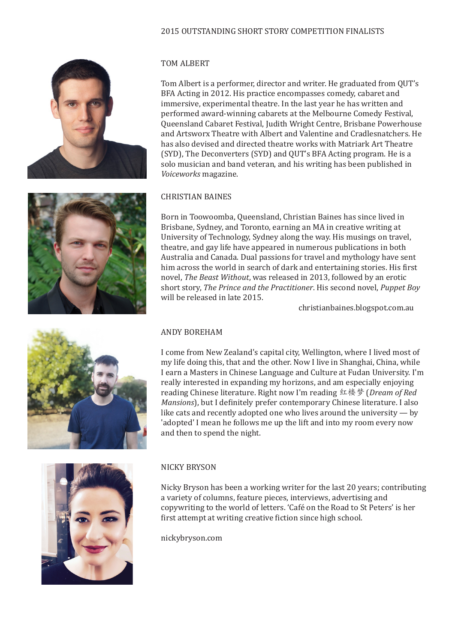## 2015 OUTSTANDING SHORT STORY COMPETITION FINALISTS









# TOM ALBERT

Tom Albert is a performer, director and writer. He graduated from QUT's BFA Acting in 2012. His practice encompasses comedy, cabaret and immersive, experimental theatre. In the last year he has written and performed award-winning cabarets at the Melbourne Comedy Festival, Queensland Cabaret Festival, Judith Wright Centre, Brisbane Powerhouse and Artsworx Theatre with Albert and Valentine and Cradlesnatchers. He has also devised and directed theatre works with Matriark Art Theatre (SYD), The Deconverters (SYD) and QUT's BFA Acting program. He is a solo musician and band veteran, and his writing has been published in *Voiceworks* magazine.

#### CHRISTIAN BAINES

Born in Toowoomba, Queensland, Christian Baines has since lived in Brisbane, Sydney, and Toronto, earning an MA in creative writing at University of Technology, Sydney along the way. His musings on travel, theatre, and gay life have appeared in numerous publications in both Australia and Canada. Dual passions for travel and mythology have sent him across the world in search of dark and entertaining stories. His first novel, *The Beast Without*, was released in 2013, followed by an erotic short story, *The Prince and the Practitioner*. His second novel, *Puppet Boy* will be released in late 2015.

christianbaines.blogspot.com.au

#### ANDY BOREHAM

I come from New Zealand's capital city, Wellington, where I lived most of my life doing this, that and the other. Now I live in Shanghai, China, while I earn a Masters in Chinese Language and Culture at Fudan University. I'm really interested in expanding my horizons, and am especially enjoying reading Chinese literature. Right now I'm reading 红楼梦 (*Dream of Red Mansions*), but I definitely prefer contemporary Chinese literature. I also like cats and recently adopted one who lives around the university — by 'adopted' I mean he follows me up the lift and into my room every now and then to spend the night.

#### NICKY BRYSON

Nicky Bryson has been a working writer for the last 20 years; contributing a variety of columns, feature pieces, interviews, advertising and copywriting to the world of letters. 'Café on the Road to St Peters' is her first attempt at writing creative fiction since high school.

nickybryson.com